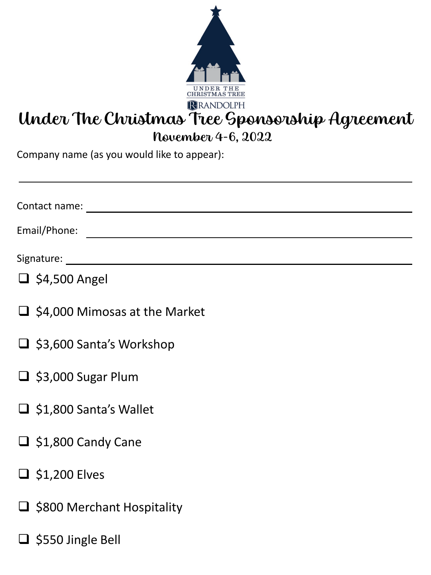

# Under The Christmas Tree Sponsorship Agreement

November 4-6, 2022

Company name (as you would like to appear):

| Contact name: <u>_________________________________</u> |
|--------------------------------------------------------|
| Email/Phone:                                           |
|                                                        |
| $\Box$ \$4,500 Angel                                   |
| $\Box$ \$4,000 Mimosas at the Market                   |
| $\Box$ \$3,600 Santa's Workshop                        |
| $\Box$ \$3,000 Sugar Plum                              |
| $\Box$ \$1,800 Santa's Wallet                          |
| $\Box$ \$1,800 Candy Cane                              |
| $\Box$ \$1,200 Elves                                   |
| $\Box$ \$800 Merchant Hospitality                      |
| $\Box$ \$550 Jingle Bell                               |